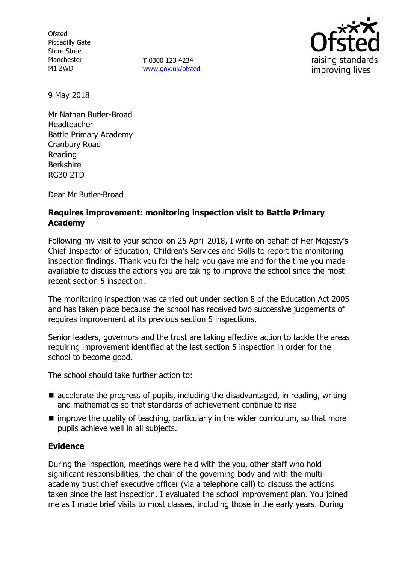**Ofsted** Piccadilly Gate Store Street Manchester M1 2WD

**T** 0300 123 4234 [www.gov.uk/ofsted](http://www.gov.uk/ofsted)



9 May 2018

Mr Nathan Butler-Broad Headteacher Battle Primary Academy Cranbury Road Reading Berkshire RG30 2TD

Dear Mr Butler-Broad

# **Requires improvement: monitoring inspection visit to Battle Primary Academy**

Following my visit to your school on 25 April 2018, I write on behalf of Her Majesty's Chief Inspector of Education, Children's Services and Skills to report the monitoring inspection findings. Thank you for the help you gave me and for the time you made available to discuss the actions you are taking to improve the school since the most recent section 5 inspection.

The monitoring inspection was carried out under section 8 of the Education Act 2005 and has taken place because the school has received two successive judgements of requires improvement at its previous section 5 inspections.

Senior leaders, governors and the trust are taking effective action to tackle the areas requiring improvement identified at the last section 5 inspection in order for the school to become good.

The school should take further action to:

- $\blacksquare$  accelerate the progress of pupils, including the disadvantaged, in reading, writing and mathematics so that standards of achievement continue to rise
- $\blacksquare$  improve the quality of teaching, particularly in the wider curriculum, so that more pupils achieve well in all subjects.

### **Evidence**

During the inspection, meetings were held with the you, other staff who hold significant responsibilities, the chair of the governing body and with the multiacademy trust chief executive officer (via a telephone call) to discuss the actions taken since the last inspection. I evaluated the school improvement plan. You joined me as I made brief visits to most classes, including those in the early years. During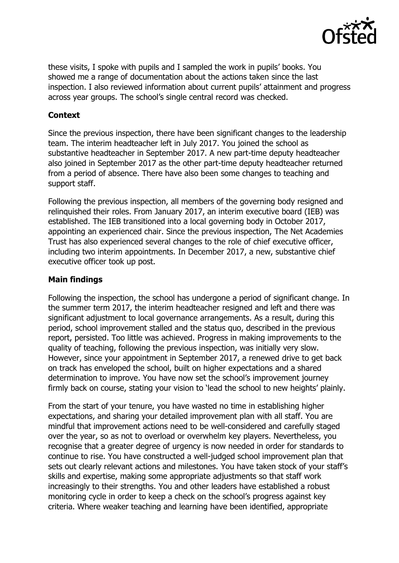

these visits, I spoke with pupils and I sampled the work in pupils' books. You showed me a range of documentation about the actions taken since the last inspection. I also reviewed information about current pupils' attainment and progress across vear groups. The school's single central record was checked.

# **Context**

Since the previous inspection, there have been significant changes to the leadership team. The interim headteacher left in July 2017. You joined the school as substantive headteacher in September 2017. A new part-time deputy headteacher also joined in September 2017 as the other part-time deputy headteacher returned from a period of absence. There have also been some changes to teaching and support staff.

Following the previous inspection, all members of the governing body resigned and relinquished their roles. From January 2017, an interim executive board (IEB) was established. The IEB transitioned into a local governing body in October 2017, appointing an experienced chair. Since the previous inspection, The Net Academies Trust has also experienced several changes to the role of chief executive officer, including two interim appointments. In December 2017, a new, substantive chief executive officer took up post.

# **Main findings**

Following the inspection, the school has undergone a period of significant change. In the summer term 2017, the interim headteacher resigned and left and there was significant adjustment to local governance arrangements. As a result, during this period, school improvement stalled and the status quo, described in the previous report, persisted. Too little was achieved. Progress in making improvements to the quality of teaching, following the previous inspection, was initially very slow. However, since your appointment in September 2017, a renewed drive to get back on track has enveloped the school, built on higher expectations and a shared determination to improve. You have now set the school's improvement journey firmly back on course, stating your vision to 'lead the school to new heights' plainly.

From the start of your tenure, you have wasted no time in establishing higher expectations, and sharing your detailed improvement plan with all staff. You are mindful that improvement actions need to be well-considered and carefully staged over the year, so as not to overload or overwhelm key players. Nevertheless, you recognise that a greater degree of urgency is now needed in order for standards to continue to rise. You have constructed a well-judged school improvement plan that sets out clearly relevant actions and milestones. You have taken stock of your staff's skills and expertise, making some appropriate adjustments so that staff work increasingly to their strengths. You and other leaders have established a robust monitoring cycle in order to keep a check on the school's progress against key criteria. Where weaker teaching and learning have been identified, appropriate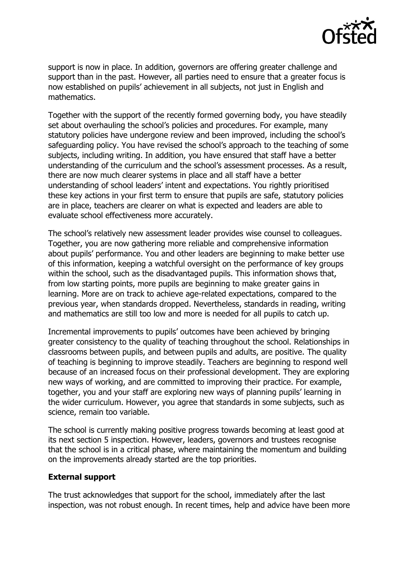

support is now in place. In addition, governors are offering greater challenge and support than in the past. However, all parties need to ensure that a greater focus is now established on pupils' achievement in all subjects, not just in English and mathematics.

Together with the support of the recently formed governing body, you have steadily set about overhauling the school's policies and procedures. For example, many statutory policies have undergone review and been improved, including the school's safeguarding policy. You have revised the school's approach to the teaching of some subjects, including writing. In addition, you have ensured that staff have a better understanding of the curriculum and the school's assessment processes. As a result, there are now much clearer systems in place and all staff have a better understanding of school leaders' intent and expectations. You rightly prioritised these key actions in your first term to ensure that pupils are safe, statutory policies are in place, teachers are clearer on what is expected and leaders are able to evaluate school effectiveness more accurately.

The school's relatively new assessment leader provides wise counsel to colleagues. Together, you are now gathering more reliable and comprehensive information about pupils' performance. You and other leaders are beginning to make better use of this information, keeping a watchful oversight on the performance of key groups within the school, such as the disadvantaged pupils. This information shows that, from low starting points, more pupils are beginning to make greater gains in learning. More are on track to achieve age-related expectations, compared to the previous year, when standards dropped. Nevertheless, standards in reading, writing and mathematics are still too low and more is needed for all pupils to catch up.

Incremental improvements to pupils' outcomes have been achieved by bringing greater consistency to the quality of teaching throughout the school. Relationships in classrooms between pupils, and between pupils and adults, are positive. The quality of teaching is beginning to improve steadily. Teachers are beginning to respond well because of an increased focus on their professional development. They are exploring new ways of working, and are committed to improving their practice. For example, together, you and your staff are exploring new ways of planning pupils' learning in the wider curriculum. However, you agree that standards in some subjects, such as science, remain too variable.

The school is currently making positive progress towards becoming at least good at its next section 5 inspection. However, leaders, governors and trustees recognise that the school is in a critical phase, where maintaining the momentum and building on the improvements already started are the top priorities.

#### **External support**

The trust acknowledges that support for the school, immediately after the last inspection, was not robust enough. In recent times, help and advice have been more